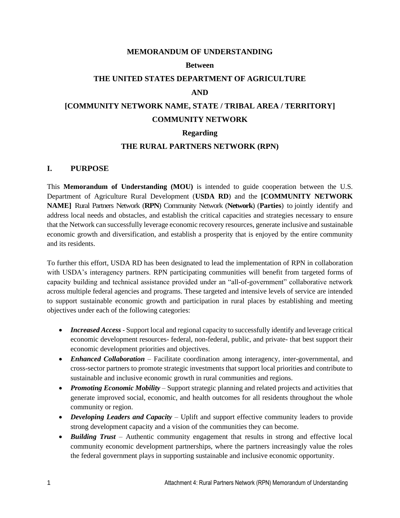#### **MEMORANDUM OF UNDERSTANDING**

#### **Between**

#### **THE UNITED STATES DEPARTMENT OF AGRICULTURE**

#### **AND**

# **[COMMUNITY NETWORK NAME, STATE / TRIBAL AREA / TERRITORY] COMMUNITY NETWORK**

#### **Regarding**

#### **THE RURAL PARTNERS NETWORK (RPN)**

#### **I. PURPOSE**

This **Memorandum of Understanding (MOU)** is intended to guide cooperation between the U.S. Department of Agriculture Rural Development (**USDA RD**) and the **[COMMUNITY NETWORK NAME]** Rural Partners Network (**RPN**) Community Network (**Network**) (**Parties**) to jointly identify and address local needs and obstacles, and establish the critical capacities and strategies necessary to ensure that the Network can successfully leverage economic recovery resources, generate inclusive and sustainable economic growth and diversification, and establish a prosperity that is enjoyed by the entire community and its residents.

To further this effort, USDA RD has been designated to lead the implementation of RPN in collaboration with USDA's interagency partners. RPN participating communities will benefit from targeted forms of capacity building and technical assistance provided under an "all-of-government" collaborative network across multiple federal agencies and programs. These targeted and intensive levels of service are intended to support sustainable economic growth and participation in rural places by establishing and meeting objectives under each of the following categories:

- *Increased Access* Support local and regional capacity to successfully identify and leverage critical economic development resources- federal, non-federal, public, and private- that best support their economic development priorities and objectives.
- *Enhanced Collaboration* Facilitate coordination among interagency, inter-governmental, and cross-sector partners to promote strategic investments that support local priorities and contribute to sustainable and inclusive economic growth in rural communities and regions.
- *Promoting Economic Mobility* Support strategic planning and related projects and activities that generate improved social, economic, and health outcomes for all residents throughout the whole community or region.
- *Developing Leaders and Capacity* Uplift and support effective community leaders to provide strong development capacity and a vision of the communities they can become.
- *Building Trust* Authentic community engagement that results in strong and effective local community economic development partnerships, where the partners increasingly value the roles the federal government plays in supporting sustainable and inclusive economic opportunity.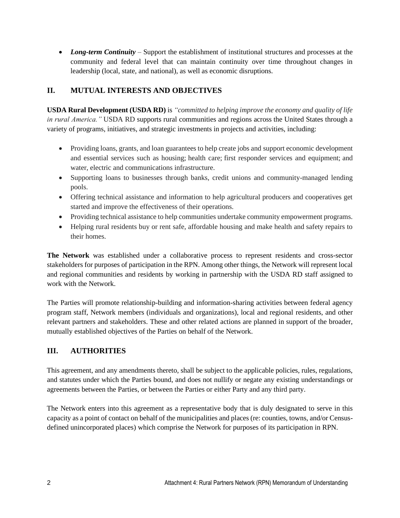• *Long-term Continuity* – Support the establishment of institutional structures and processes at the community and federal level that can maintain continuity over time throughout changes in leadership (local, state, and national), as well as economic disruptions.

## **II. MUTUAL INTERESTS AND OBJECTIVES**

**USDA Rural Development (USDA RD)** is *"committed to helping improve the economy and quality of life in rural America."* USDA RD supports rural communities and regions across the United States through a variety of programs, initiatives, and strategic investments in projects and activities, including:

- Providing loans, grants, and loan guarantees to help create jobs and support economic development and essential services such as housing; health care; first responder services and equipment; and water, electric and communications infrastructure.
- Supporting loans to businesses through banks, credit unions and community-managed lending pools.
- Offering technical assistance and information to help agricultural producers and cooperatives get started and improve the effectiveness of their operations.
- Providing technical assistance to help communities undertake community empowerment programs.
- Helping rural residents buy or rent safe, affordable housing and make health and safety repairs to their homes.

**The Network** was established under a collaborative process to represent residents and cross-sector stakeholders for purposes of participation in the RPN. Among other things, the Network will represent local and regional communities and residents by working in partnership with the USDA RD staff assigned to work with the Network.

The Parties will promote relationship-building and information-sharing activities between federal agency program staff, Network members (individuals and organizations), local and regional residents, and other relevant partners and stakeholders. These and other related actions are planned in support of the broader, mutually established objectives of the Parties on behalf of the Network.

## **III. AUTHORITIES**

This agreement, and any amendments thereto, shall be subject to the applicable policies, rules, regulations, and statutes under which the Parties bound, and does not nullify or negate any existing understandings or agreements between the Parties, or between the Parties or either Party and any third party.

The Network enters into this agreement as a representative body that is duly designated to serve in this capacity as a point of contact on behalf of the municipalities and places (re: counties, towns, and/or Censusdefined unincorporated places) which comprise the Network for purposes of its participation in RPN.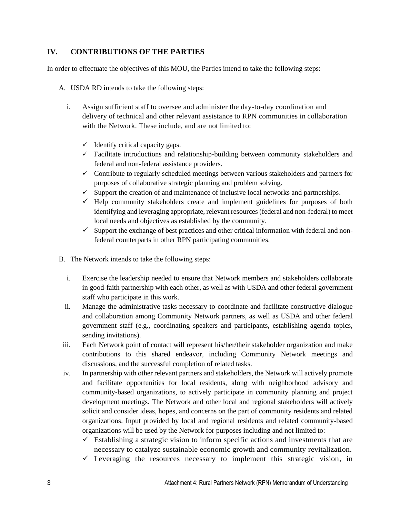## **IV. CONTRIBUTIONS OF THE PARTIES**

In order to effectuate the objectives of this MOU, the Parties intend to take the following steps:

- A. USDA RD intends to take the following steps:
	- i. Assign sufficient staff to oversee and administer the day-to-day coordination and delivery of technical and other relevant assistance to RPN communities in collaboration with the Network. These include, and are not limited to:
		- $\checkmark$  Identify critical capacity gaps.
		- ✓ Facilitate introductions and relationship-building between community stakeholders and federal and non-federal assistance providers.
		- $\checkmark$  Contribute to regularly scheduled meetings between various stakeholders and partners for purposes of collaborative strategic planning and problem solving.
		- $\checkmark$  Support the creation of and maintenance of inclusive local networks and partnerships.
		- $\checkmark$  Help community stakeholders create and implement guidelines for purposes of both identifying and leveraging appropriate, relevant resources (federal and non-federal) to meet local needs and objectives as established by the community.
		- $\checkmark$  Support the exchange of best practices and other critical information with federal and nonfederal counterparts in other RPN participating communities.
- B. The Network intends to take the following steps:
	- i. Exercise the leadership needed to ensure that Network members and stakeholders collaborate in good-faith partnership with each other, as well as with USDA and other federal government staff who participate in this work.
	- ii. Manage the administrative tasks necessary to coordinate and facilitate constructive dialogue and collaboration among Community Network partners, as well as USDA and other federal government staff (e.g., coordinating speakers and participants, establishing agenda topics, sending invitations).
- iii. Each Network point of contact will represent his/her/their stakeholder organization and make contributions to this shared endeavor, including Community Network meetings and discussions, and the successful completion of related tasks.
- iv. In partnership with other relevant partners and stakeholders, the Network will actively promote and facilitate opportunities for local residents, along with neighborhood advisory and community-based organizations, to actively participate in community planning and project development meetings. The Network and other local and regional stakeholders will actively solicit and consider ideas, hopes, and concerns on the part of community residents and related organizations. Input provided by local and regional residents and related community-based organizations will be used by the Network for purposes including and not limited to:
	- $\checkmark$  Establishing a strategic vision to inform specific actions and investments that are necessary to catalyze sustainable economic growth and community revitalization.
	- $\checkmark$  Leveraging the resources necessary to implement this strategic vision, in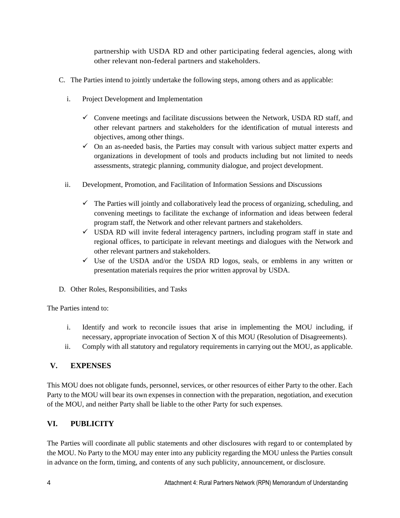partnership with USDA RD and other participating federal agencies, along with other relevant non-federal partners and stakeholders.

- C. The Parties intend to jointly undertake the following steps, among others and as applicable:
	- i. Project Development and Implementation
		- $\checkmark$  Convene meetings and facilitate discussions between the Network, USDA RD staff, and other relevant partners and stakeholders for the identification of mutual interests and objectives, among other things.
		- $\checkmark$  On an as-needed basis, the Parties may consult with various subject matter experts and organizations in development of tools and products including but not limited to needs assessments, strategic planning, community dialogue, and project development.
	- ii. Development, Promotion, and Facilitation of Information Sessions and Discussions
		- $\checkmark$  The Parties will jointly and collaboratively lead the process of organizing, scheduling, and convening meetings to facilitate the exchange of information and ideas between federal program staff, the Network and other relevant partners and stakeholders.
		- ✓ USDA RD will invite federal interagency partners, including program staff in state and regional offices, to participate in relevant meetings and dialogues with the Network and other relevant partners and stakeholders.
		- $\checkmark$  Use of the USDA and/or the USDA RD logos, seals, or emblems in any written or presentation materials requires the prior written approval by USDA.
- D. Other Roles, Responsibilities, and Tasks

The Parties intend to:

- i. Identify and work to reconcile issues that arise in implementing the MOU including, if necessary, appropriate invocation of Section X of this MOU (Resolution of Disagreements).
- ii. Comply with all statutory and regulatory requirements in carrying out the MOU, as applicable.

## **V. EXPENSES**

This MOU does not obligate funds, personnel, services, or other resources of either Party to the other. Each Party to the MOU will bear its own expenses in connection with the preparation, negotiation, and execution of the MOU, and neither Party shall be liable to the other Party for such expenses.

## **VI. PUBLICITY**

The Parties will coordinate all public statements and other disclosures with regard to or contemplated by the MOU. No Party to the MOU may enter into any publicity regarding the MOU unless the Parties consult in advance on the form, timing, and contents of any such publicity, announcement, or disclosure.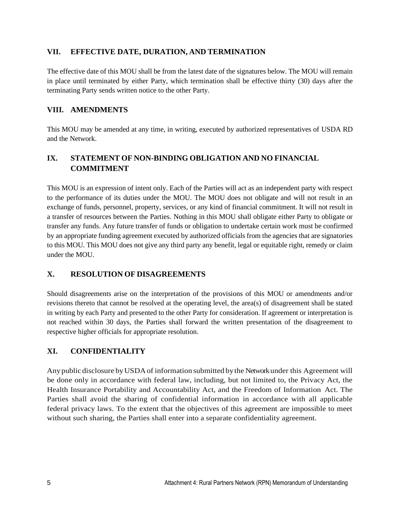#### **VII. EFFECTIVE DATE, DURATION, AND TERMINATION**

The effective date of this MOU shall be from the latest date of the signatures below. The MOU will remain in place until terminated by either Party, which termination shall be effective thirty (30) days after the terminating Party sends written notice to the other Party.

#### **VIII. AMENDMENTS**

This MOU may be amended at any time, in writing, executed by authorized representatives of USDA RD and the Network.

## **IX. STATEMENT OF NON-BINDING OBLIGATION AND NO FINANCIAL COMMITMENT**

This MOU is an expression of intent only. Each of the Parties will act as an independent party with respect to the performance of its duties under the MOU. The MOU does not obligate and will not result in an exchange of funds, personnel, property, services, or any kind of financial commitment. It will not result in a transfer of resources between the Parties. Nothing in this MOU shall obligate either Party to obligate or transfer any funds. Any future transfer of funds or obligation to undertake certain work must be confirmed by an appropriate funding agreement executed by authorized officials from the agencies that are signatories to this MOU. This MOU does not give any third party any benefit, legal or equitable right, remedy or claim under the MOU.

## **X. RESOLUTION OF DISAGREEMENTS**

Should disagreements arise on the interpretation of the provisions of this MOU or amendments and/or revisions thereto that cannot be resolved at the operating level, the area(s) of disagreement shall be stated in writing by each Party and presented to the other Party for consideration. If agreement or interpretation is not reached within 30 days, the Parties shall forward the written presentation of the disagreement to respective higher officials for appropriate resolution.

## **XI. CONFIDENTIALITY**

Anypublic disclosure byUSDAof information submitted bythe Network under this Agreement will be done only in accordance with federal law, including, but not limited to, the Privacy Act, the Health Insurance Portability and Accountability Act, and the Freedom of Information Act. The Parties shall avoid the sharing of confidential information in accordance with all applicable federal privacy laws. To the extent that the objectives of this agreement are impossible to meet without such sharing, the Parties shall enter into a separate confidentiality agreement.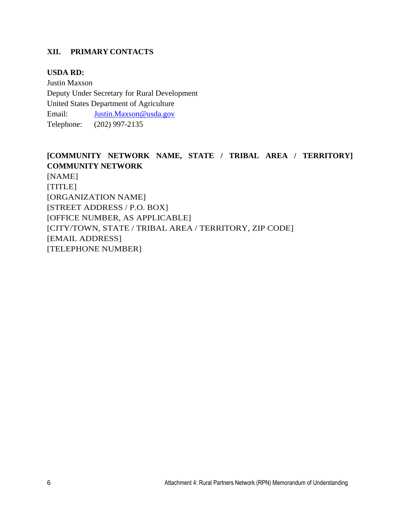## **XII. PRIMARY CONTACTS**

## **USDA RD:**

Justin Maxson Deputy Under Secretary for Rural Development United States Department of Agriculture Email: [Justin.Maxson@usda.gov](mailto:Justin.Maxson@usda.gov) Telephone: (202) 997-2135

# **[COMMUNITY NETWORK NAME, STATE / TRIBAL AREA / TERRITORY] COMMUNITY NETWORK**

[NAME] [TITLE] [ORGANIZATION NAME] [STREET ADDRESS / P.O. BOX] [OFFICE NUMBER, AS APPLICABLE] [CITY/TOWN, STATE / TRIBAL AREA / TERRITORY, ZIP CODE] [EMAIL ADDRESS] [TELEPHONE NUMBER]